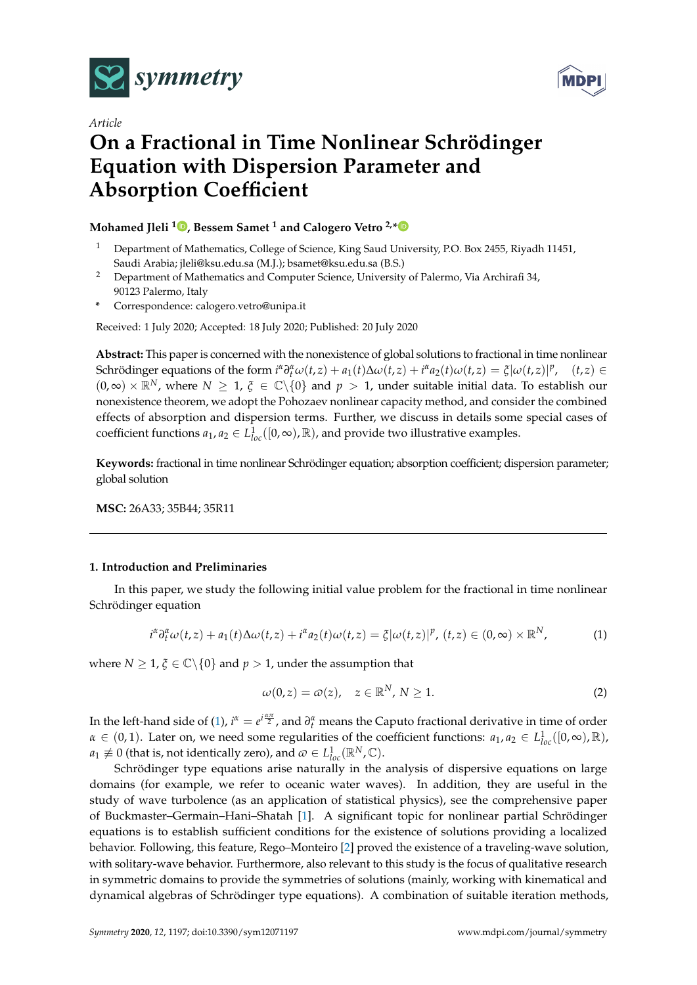



# *Article* **On a Fractional in Time Nonlinear Schrödinger Equation with Dispersion Parameter and Absorption Coefficient**

# **Mohamed Jleli <sup>1</sup> [,](https://orcid.org/0000-0002-6095-5875) Bessem Samet <sup>1</sup> and Calogero Vetro 2,[\\*](https://orcid.org/0000-0001-5836-6847)**

- <sup>1</sup> Department of Mathematics, College of Science, King Saud University, P.O. Box 2455, Riyadh 11451, Saudi Arabia; jleli@ksu.edu.sa (M.J.); bsamet@ksu.edu.sa (B.S.)
- <sup>2</sup> Department of Mathematics and Computer Science, University of Palermo, Via Archirafi 34, 90123 Palermo, Italy
- **\*** Correspondence: calogero.vetro@unipa.it

Received: 1 July 2020; Accepted: 18 July 2020; Published: 20 July 2020

**Abstract:** This paper is concerned with the nonexistence of global solutions to fractional in time nonlinear Schrödinger equations of the form  $i^{\alpha} \partial_t^{\alpha} \omega(t, z) + a_1(t) \Delta \omega(t, z) + i^{\alpha} a_2(t) \omega(t, z) = \xi |\omega(t, z)|^p$ ,  $(t, z) \in$  $(0, \infty) \times \mathbb{R}^N$ , where  $N \geq 1$ ,  $\xi \in \mathbb{C} \setminus \{0\}$  and  $p > 1$ , under suitable initial data. To establish our nonexistence theorem, we adopt the Pohozaev nonlinear capacity method, and consider the combined effects of absorption and dispersion terms. Further, we discuss in details some special cases of coefficient functions  $a_1, a_2 \in L^1_{loc}([0, \infty), \mathbb{R})$ , and provide two illustrative examples.

**Keywords:** fractional in time nonlinear Schrödinger equation; absorption coefficient; dispersion parameter; global solution

**MSC:** 26A33; 35B44; 35R11

#### **1. Introduction and Preliminaries**

In this paper, we study the following initial value problem for the fractional in time nonlinear Schrödinger equation

<span id="page-0-0"></span>
$$
i^{\alpha}\partial_t^{\alpha}\omega(t,z) + a_1(t)\Delta\omega(t,z) + i^{\alpha}a_2(t)\omega(t,z) = \xi|\omega(t,z)|^p, (t,z) \in (0,\infty) \times \mathbb{R}^N,
$$
 (1)

where *N*  $\geq$  1,  $\xi \in \mathbb{C} \setminus \{0\}$  and  $p > 1$ , under the assumption that

<span id="page-0-1"></span>
$$
\omega(0, z) = \omega(z), \quad z \in \mathbb{R}^N, N \ge 1.
$$

In the left-hand side of [\(1\)](#page-0-0),  $i^{\alpha} = e^{i\frac{\alpha\pi}{2}}$ , and  $\partial_i^{\alpha}$  means the Caputo fractional derivative in time of order  $\alpha \in (0,1)$ . Later on, we need some regularities of the coefficient functions:  $a_1, a_2 \in L^1_{loc}([0,\infty),\mathbb{R})$ ,  $a_1 \not\equiv 0$  (that is, not identically zero), and  $\omega \in L^1_{loc}({\mathbb R}^N, {\mathbb C}).$ 

Schrödinger type equations arise naturally in the analysis of dispersive equations on large domains (for example, we refer to oceanic water waves). In addition, they are useful in the study of wave turbolence (as an application of statistical physics), see the comprehensive paper of Buckmaster–Germain–Hani–Shatah [\[1\]](#page-11-0). A significant topic for nonlinear partial Schrödinger equations is to establish sufficient conditions for the existence of solutions providing a localized behavior. Following, this feature, Rego–Monteiro [\[2\]](#page-11-1) proved the existence of a traveling-wave solution, with solitary-wave behavior. Furthermore, also relevant to this study is the focus of qualitative research in symmetric domains to provide the symmetries of solutions (mainly, working with kinematical and dynamical algebras of Schrödinger type equations). A combination of suitable iteration methods,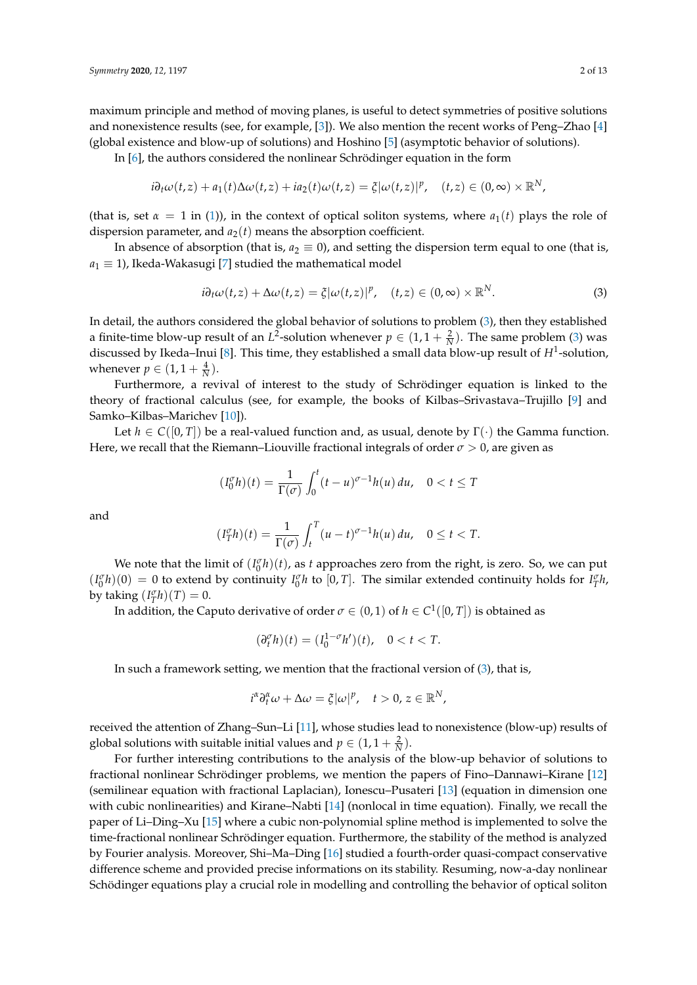maximum principle and method of moving planes, is useful to detect symmetries of positive solutions and nonexistence results (see, for example, [\[3\]](#page-11-2)). We also mention the recent works of Peng–Zhao [\[4\]](#page-11-3) (global existence and blow-up of solutions) and Hoshino [\[5\]](#page-11-4) (asymptotic behavior of solutions).

In [\[6\]](#page-11-5), the authors considered the nonlinear Schrödinger equation in the form

$$
i\partial_t \omega(t,z) + a_1(t)\Delta \omega(t,z) + ia_2(t)\omega(t,z) = \xi |\omega(t,z)|^p, \quad (t,z) \in (0,\infty) \times \mathbb{R}^N,
$$

(that is, set  $\alpha = 1$  in [\(1\)](#page-0-0)), in the context of optical soliton systems, where  $a_1(t)$  plays the role of dispersion parameter, and  $a_2(t)$  means the absorption coefficient.

In absence of absorption (that is,  $a_2 \equiv 0$ ), and setting the dispersion term equal to one (that is,  $a_1 \equiv 1$ ), Ikeda-Wakasugi [\[7\]](#page-11-6) studied the mathematical model

<span id="page-1-0"></span>
$$
i\partial_t \omega(t, z) + \Delta \omega(t, z) = \xi |\omega(t, z)|^p, \quad (t, z) \in (0, \infty) \times \mathbb{R}^N.
$$
 (3)

In detail, the authors considered the global behavior of solutions to problem [\(3\)](#page-1-0), then they established a finite-time blow-up result of an *L*<sup>2</sup>-solution whenever  $p \in (1, 1 + \frac{2}{N})$ . The same problem [\(3\)](#page-1-0) was discussed by Ikeda–Inui [\[8\]](#page-11-7). This time, they established a small data blow-up result of *H*<sup>1</sup> -solution, whenever  $p \in (1, 1 + \frac{4}{N}).$ 

Furthermore, a revival of interest to the study of Schrödinger equation is linked to the theory of fractional calculus (see, for example, the books of Kilbas–Srivastava–Trujillo [\[9\]](#page-11-8) and Samko–Kilbas–Marichev [\[10\]](#page-11-9)).

Let  $h \in C([0, T])$  be a real-valued function and, as usual, denote by  $\Gamma(\cdot)$  the Gamma function. Here, we recall that the Riemann–Liouville fractional integrals of order  $\sigma > 0$ , are given as

$$
(I_0^{\sigma}h)(t) = \frac{1}{\Gamma(\sigma)} \int_0^t (t-u)^{\sigma-1} h(u) du, \quad 0 < t \leq T
$$

and

$$
(I_T^{\sigma}h)(t) = \frac{1}{\Gamma(\sigma)} \int_t^T (u-t)^{\sigma-1} h(u) du, \quad 0 \le t < T.
$$

We note that the limit of  $(I_0^{\sigma}h)(t)$ , as *t* approaches zero from the right, is zero. So, we can put  $(I_0^{\sigma}h)(0) = 0$  to extend by continuity  $I_0^{\sigma}h$  to  $[0, T]$ . The similar extended continuity holds for  $I_T^{\sigma}h$ , by taking  $(I_T^{\sigma}h)(T) = 0$ .

In addition, the Caputo derivative of order  $\sigma \in (0,1)$  of  $h \in C^1([0,T])$  is obtained as

$$
(\partial_t^{\sigma} h)(t) = (I_0^{1-\sigma} h')(t), \quad 0 < t < T.
$$

In such a framework setting, we mention that the fractional version of [\(3\)](#page-1-0), that is,

$$
i^{\alpha} \partial_t^{\alpha} \omega + \Delta \omega = \xi |\omega|^p, \quad t > 0, \, z \in \mathbb{R}^N,
$$

received the attention of Zhang–Sun–Li [\[11\]](#page-11-10), whose studies lead to nonexistence (blow-up) results of global solutions with suitable initial values and  $p \in (1, 1 + \frac{2}{N})$ .

For further interesting contributions to the analysis of the blow-up behavior of solutions to fractional nonlinear Schrödinger problems, we mention the papers of Fino–Dannawi–Kirane [\[12\]](#page-11-11) (semilinear equation with fractional Laplacian), Ionescu–Pusateri [\[13\]](#page-11-12) (equation in dimension one with cubic nonlinearities) and Kirane–Nabti [\[14\]](#page-11-13) (nonlocal in time equation). Finally, we recall the paper of Li–Ding–Xu [\[15\]](#page-11-14) where a cubic non-polynomial spline method is implemented to solve the time-fractional nonlinear Schrödinger equation. Furthermore, the stability of the method is analyzed by Fourier analysis. Moreover, Shi–Ma–Ding [\[16\]](#page-11-15) studied a fourth-order quasi-compact conservative difference scheme and provided precise informations on its stability. Resuming, now-a-day nonlinear Schödinger equations play a crucial role in modelling and controlling the behavior of optical soliton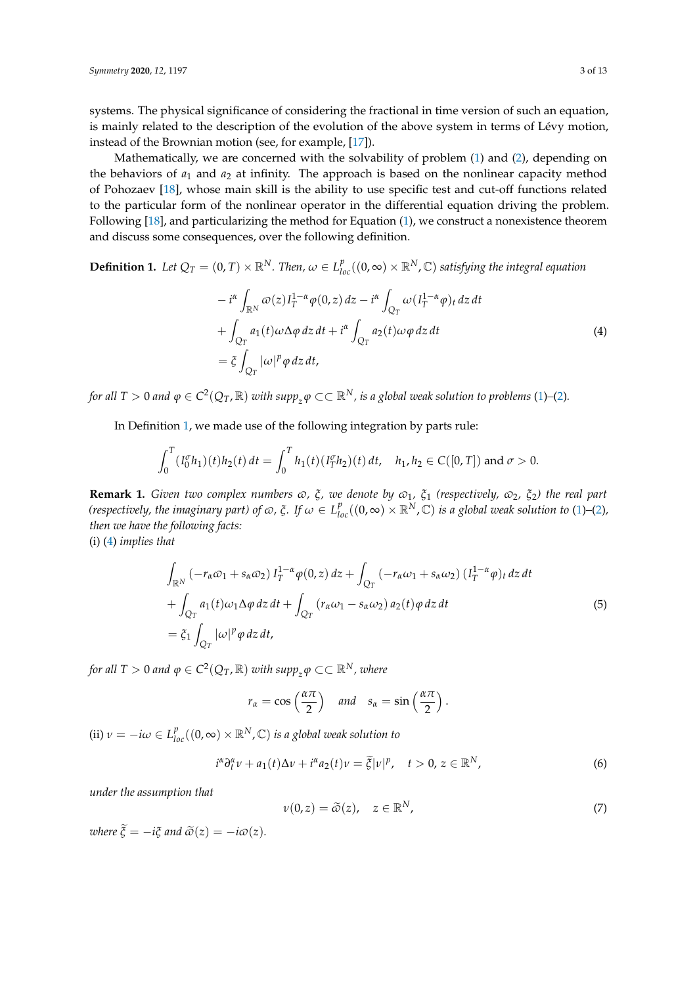systems. The physical significance of considering the fractional in time version of such an equation, is mainly related to the description of the evolution of the above system in terms of Lévy motion, instead of the Brownian motion (see, for example, [\[17\]](#page-12-0)).

Mathematically, we are concerned with the solvability of problem  $(1)$  and  $(2)$ , depending on the behaviors of  $a_1$  and  $a_2$  at infinity. The approach is based on the nonlinear capacity method of Pohozaev [\[18\]](#page-12-1), whose main skill is the ability to use specific test and cut-off functions related to the particular form of the nonlinear operator in the differential equation driving the problem. Following [\[18\]](#page-12-1), and particularizing the method for Equation [\(1\)](#page-0-0), we construct a nonexistence theorem and discuss some consequences, over the following definition.

<span id="page-2-0"></span>**Definition 1.** Let  $Q_T = (0, T) \times \mathbb{R}^N$ . Then,  $\omega \in L^p_{loc}((0, \infty) \times \mathbb{R}^N, \mathbb{C})$  satisfying the integral equation

<span id="page-2-1"></span>
$$
-i^{\alpha} \int_{\mathbb{R}^N} \varpi(z) I_T^{1-\alpha} \varphi(0, z) dz - i^{\alpha} \int_{Q_T} \omega(I_T^{1-\alpha} \varphi)_t dz dt + \int_{Q_T} a_1(t) \omega \Delta \varphi dz dt + i^{\alpha} \int_{Q_T} a_2(t) \omega \varphi dz dt = \xi \int_{Q_T} |\omega|^p \varphi dz dt,
$$
\n(4)

for all T  $>0$  and  $\varphi \in C^2(Q_T,\mathbb R)$  with  $supp_z\varphi \subset\subset \mathbb R^N$ , is a global weak solution to problems [\(1\)](#page-0-0)–[\(2\)](#page-0-1).

In Definition [1,](#page-2-0) we made use of the following integration by parts rule:

$$
\int_0^T (I_0^{\sigma} h_1)(t)h_2(t) dt = \int_0^T h_1(t) (I_T^{\sigma} h_2)(t) dt, \quad h_1, h_2 \in C([0, T]) \text{ and } \sigma > 0.
$$

<span id="page-2-5"></span>**Remark 1.** *Given two complex numbers*  $\varpi$ ,  $\xi$ , *we denote by*  $\varpi_1$ ,  $\xi_1$  (respectively,  $\varpi_2$ ,  $\xi_2$ ) the real part *(respectively, the imaginary part) of*  $\varpi$ *,*  $\xi$ *. If*  $\omega \in L_{loc}^p((0,\infty)\times \R^N,\mathbb{C})$  *<i>is a global weak solution to* [\(1\)](#page-0-0)–[\(2\)](#page-0-1)*, then we have the following facts:*

(i) [\(4\)](#page-2-1) *implies that*

<span id="page-2-2"></span>
$$
\int_{\mathbb{R}^N} \left( -r_{\alpha}\omega_1 + s_{\alpha}\omega_2 \right) I_T^{1-\alpha} \varphi(0, z) dz + \int_{Q_T} \left( -r_{\alpha}\omega_1 + s_{\alpha}\omega_2 \right) (I_T^{1-\alpha} \varphi)_t dz dt \n+ \int_{Q_T} a_1(t)\omega_1 \Delta \varphi dz dt + \int_{Q_T} \left( r_{\alpha}\omega_1 - s_{\alpha}\omega_2 \right) a_2(t) \varphi dz dt \n= \tilde{\zeta}_1 \int_{Q_T} |\omega|^p \varphi dz dt,
$$
\n(5)

*for all T*  $> 0$  *and*  $\varphi \in C^2(Q_T,\mathbb{R})$  *with*  $\text{supp}_z\varphi \subset\subset \mathbb{R}^N$ *, where* 

$$
r_{\alpha} = \cos\left(\frac{\alpha \pi}{2}\right)
$$
 and  $s_{\alpha} = \sin\left(\frac{\alpha \pi}{2}\right)$ .

(ii)  $\nu = -i\omega \in L_{loc}^p((0, \infty) \times \mathbb{R}^N, \mathbb{C})$  *is a global weak solution to* 

<span id="page-2-3"></span>
$$
i^{\alpha}\partial_t^{\alpha}\nu + a_1(t)\Delta \nu + i^{\alpha}a_2(t)\nu = \tilde{\xi}|\nu|^p, \quad t > 0, \ z \in \mathbb{R}^N,
$$
 (6)

*under the assumption that*

<span id="page-2-4"></span>
$$
\nu(0, z) = \tilde{\omega}(z), \quad z \in \mathbb{R}^N,
$$
\n(7)

*where*  $\tilde{\xi} = -i\xi$  *and*  $\tilde{\omega}(z) = -i\omega(z)$ *.*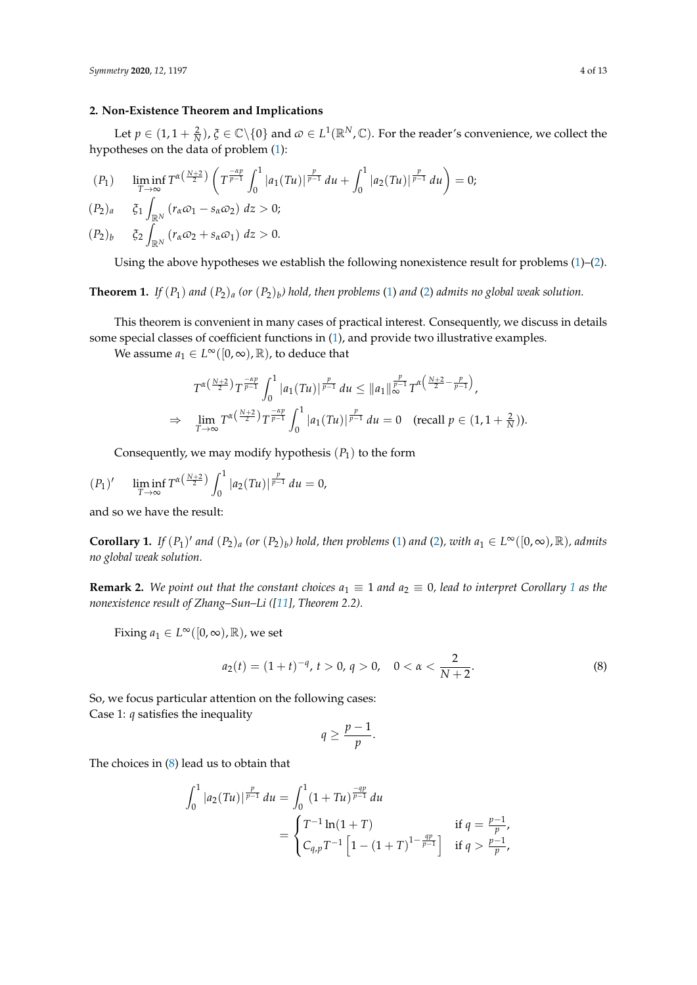## **2. Non-Existence Theorem and Implications**

Let  $p \in (1, 1 + \frac{2}{N})$ ,  $\zeta \in \mathbb{C} \setminus \{0\}$  and  $\omega \in L^1(\mathbb{R}^N, \mathbb{C})$ . For the reader's convenience, we collect the hypotheses on the data of problem [\(1\)](#page-0-0):

$$
(P_1) \qquad \liminf_{T\to\infty} T^{\alpha\left(\frac{N+2}{2}\right)} \left( T^{\frac{\alpha p}{p-1}} \int_0^1 |a_1(Tu)|^{\frac{p}{p-1}} du + \int_0^1 |a_2(Tu)|^{\frac{p}{p-1}} du \right) = 0;
$$

$$
(P_2)_a \t\t \t\t \xi_1 \int_{\mathbb{R}^N} (r_\alpha \omega_1 - s_\alpha \omega_2) dz > 0;
$$

 $(P_2)_b$  $\int_{\mathbb{R}^N} (r_\alpha \omega_2 + s_\alpha \omega_1) dz > 0.$ 

Using the above hypotheses we establish the following nonexistence result for problems  $(1)$ – $(2)$ .

<span id="page-3-2"></span>**Theorem 1.** *If*  $(P_1)$  *and*  $(P_2)_a$  (or  $(P_2)_b$ ) hold, then problems [\(1\)](#page-0-0) and [\(2\)](#page-0-1) admits no global weak solution.

This theorem is convenient in many cases of practical interest. Consequently, we discuss in details some special classes of coefficient functions in [\(1\)](#page-0-0), and provide two illustrative examples.

We assume  $a_1 \in L^\infty([0,\infty),\mathbb{R})$ , to deduce that

$$
T^{\alpha\left(\frac{N+2}{2}\right)}T^{\frac{-\alpha p}{p-1}}\int_{0}^{1}|a_{1}(Tu)|^{\frac{p}{p-1}}du \leq ||a_{1}||_{\infty}^{\frac{p}{p-1}}T^{\alpha\left(\frac{N+2}{2}-\frac{p}{p-1}\right)},
$$
  
\n
$$
\Rightarrow \lim_{T \to \infty}T^{\alpha\left(\frac{N+2}{2}\right)}T^{\frac{-\alpha p}{p-1}}\int_{0}^{1}|a_{1}(Tu)|^{\frac{p}{p-1}}du = 0 \quad \text{(recall } p \in (1, 1 + \frac{2}{N})\text{).}
$$

Consequently, we may modify hypothesis  $(P_1)$  to the form

$$
(P_1)' \qquad \liminf_{T \to \infty} T^{\alpha\left(\frac{N+2}{2}\right)} \int_0^1 |a_2(Tu)|^{\frac{p}{p-1}} du = 0,
$$

and so we have the result:

<span id="page-3-0"></span>**Corollary 1.** If  $(P_1)'$  and  $(P_2)_a$  (or  $(P_2)_b$ ) hold, then problems [\(1\)](#page-0-0) and [\(2\)](#page-0-1), with  $a_1 \in L^\infty([0,\infty),\mathbb{R})$ , admits *no global weak solution.*

**Remark 2.** We point out that the constant choices  $a_1 \equiv 1$  $a_1 \equiv 1$  $a_1 \equiv 1$  and  $a_2 \equiv 0$ , lead to interpret Corollary 1 as the *nonexistence result of Zhang–Sun–Li ([\[11\]](#page-11-10), Theorem 2.2).*

Fixing  $a_1 \in L^\infty([0,\infty),\mathbb{R})$ , we set

<span id="page-3-1"></span>
$$
a_2(t) = (1+t)^{-q}, t > 0, q > 0, \quad 0 < \alpha < \frac{2}{N+2}.
$$
 (8)

So, we focus particular attention on the following cases: Case 1: *q* satisfies the inequality

$$
q\geq \frac{p-1}{p}.
$$

The choices in [\(8\)](#page-3-1) lead us to obtain that

$$
\int_0^1 |a_2(Tu)|^{\frac{p}{p-1}} du = \int_0^1 (1+Tu)^{\frac{-qp}{p-1}} du
$$
  
= 
$$
\begin{cases} T^{-1} \ln(1+T) & \text{if } q = \frac{p-1}{p}, \\ C_{q,p} T^{-1} \left[ 1 - (1+T)^{1-\frac{qp}{p-1}} \right] & \text{if } q > \frac{p-1}{p}, \end{cases}
$$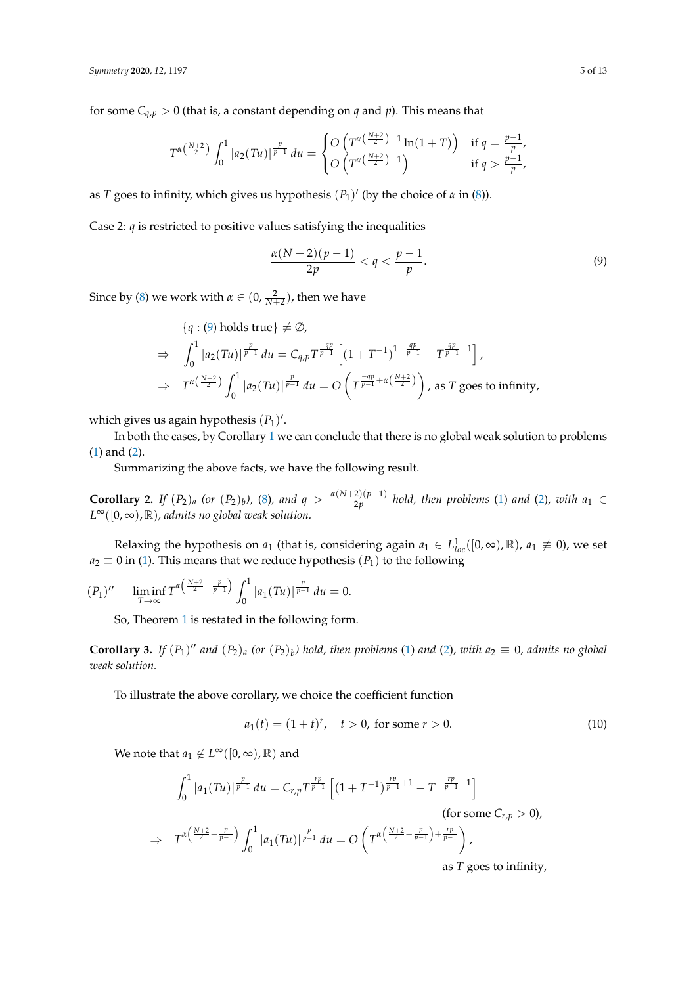for some  $C_{q,p} > 0$  (that is, a constant depending on *q* and *p*). This means that

$$
T^{\alpha(\frac{N+2}{2})} \int_0^1 |a_2(Tu)|^{\frac{p}{p-1}} du = \begin{cases} O\left(T^{\alpha(\frac{N+2}{2})-1} \ln(1+T)\right) & \text{if } q = \frac{p-1}{p}, \\ O\left(T^{\alpha(\frac{N+2}{2})-1}\right) & \text{if } q > \frac{p-1}{p}, \end{cases}
$$

as *T* goes to infinity, which gives us hypothesis  $(P_1)'$  (by the choice of  $\alpha$  in  $(8)$ ).

Case 2:  $q$  is restricted to positive values satisfying the inequalities

<span id="page-4-0"></span>
$$
\frac{\alpha(N+2)(p-1)}{2p} < q < \frac{p-1}{p}.\tag{9}
$$

Since by [\(8\)](#page-3-1) we work with  $\alpha \in (0, \frac{2}{N+2})$ , then we have

$$
\{q: (9) \text{ holds true}\}\neq \emptyset,
$$
  
\n
$$
\Rightarrow \int_0^1 |a_2(Tu)|^{\frac{p}{p-1}} du = C_{q,p} T^{\frac{qp}{p-1}} \left[ (1+T^{-1})^{1-\frac{qp}{p-1}} - T^{\frac{qp}{p-1}-1} \right],
$$
  
\n
$$
\Rightarrow T^{\alpha(\frac{N+2}{2})} \int_0^1 |a_2(Tu)|^{\frac{p}{p-1}} du = O\left( T^{\frac{-qp}{p-1}+\alpha(\frac{N+2}{2})} \right), \text{ as } T \text{ goes to infinity.}
$$

which gives us again hypothesis  $(P_1)'$ .

In both the cases, by Corollary [1](#page-3-0) we can conclude that there is no global weak solution to problems [\(1\)](#page-0-0) and [\(2\)](#page-0-1).

Summarizing the above facts, we have the following result.

<span id="page-4-3"></span>**Corollary 2.** *If*  $(P_2)_a$  (or  $(P_2)_b$ ), [\(8\)](#page-3-1), and  $q > \frac{\alpha(N+2)(p-1)}{2p}$  $\frac{2(p-1)}{2p}$  *hold, then problems* [\(1\)](#page-0-0) *and* [\(2\)](#page-0-1)*, with*  $a_1 \in$ *L* <sup>∞</sup>([0, ∞), R)*, admits no global weak solution.*

Relaxing the hypothesis on  $a_1$  (that is, considering again  $a_1 \in L^1_{loc}([0,\infty),\mathbb{R})$ ,  $a_1 \not\equiv 0$ ), we set  $a_2 \equiv 0$  in [\(1\)](#page-0-0). This means that we reduce hypothesis ( $P_1$ ) to the following

$$
(P_1)'' \quad \liminf_{T \to \infty} T^{\alpha \left(\frac{N+2}{2} - \frac{p}{p-1}\right)} \int_0^1 |a_1(Tu)|^{\frac{p}{p-1}} du = 0.
$$

So, Theorem [1](#page-3-2) is restated in the following form.

<span id="page-4-1"></span>**Corollary 3.** If  $(P_1)''$  and  $(P_2)_a$  (or  $(P_2)_b$ ) hold, then problems [\(1\)](#page-0-0) and [\(2\)](#page-0-1), with  $a_2 \equiv 0$ , admits no global *weak solution.*

To illustrate the above corollary, we choice the coefficient function

<span id="page-4-2"></span>
$$
a_1(t) = (1+t)^r, \quad t > 0, \text{ for some } r > 0. \tag{10}
$$

We note that  $a_1 \notin L^\infty([0,\infty),\mathbb{R})$  and

$$
\int_0^1 |a_1(Tu)|^{\frac{p}{p-1}} du = C_{r,p} T^{\frac{rp}{p-1}} \left[ (1+T^{-1})^{\frac{rp}{p-1}+1} - T^{-\frac{rp}{p-1}-1} \right]
$$
  
\n
$$
\Rightarrow T^{\alpha \left( \frac{N+2}{2} - \frac{p}{p-1} \right)} \int_0^1 |a_1(Tu)|^{\frac{p}{p-1}} du = O \left( T^{\alpha \left( \frac{N+2}{2} - \frac{p}{p-1} \right) + \frac{rp}{p-1}} \right),
$$

as *T* goes to infinity,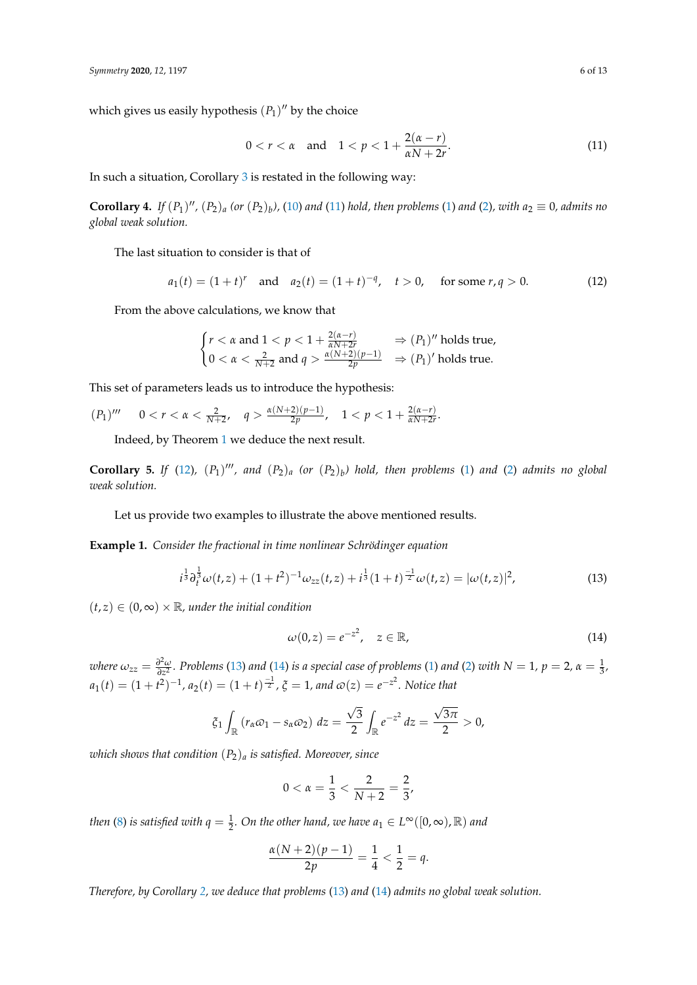which gives us easily hypothesis  $(P_1)''$  by the choice

<span id="page-5-0"></span>
$$
0 < r < \alpha \quad \text{and} \quad 1 < p < 1 + \frac{2(\alpha - r)}{\alpha N + 2r}.\tag{11}
$$

In such a situation, Corollary [3](#page-4-1) is restated in the following way:

**Corollary 4.** If  $(P_1)''$ ,  $(P_2)_a$  (or  $(P_2)_b$ ), [\(10\)](#page-4-2) and [\(11\)](#page-5-0) hold, then problems [\(1\)](#page-0-0) and [\(2\)](#page-0-1), with  $a_2 \equiv 0$ , admits no *global weak solution.*

The last situation to consider is that of

<span id="page-5-1"></span>
$$
a_1(t) = (1+t)^r
$$
 and  $a_2(t) = (1+t)^{-q}$ ,  $t > 0$ , for some  $r, q > 0$ . (12)

From the above calculations, we know that

$$
\begin{cases} r < \alpha \text{ and } 1 < p < 1 + \frac{2(\alpha - r)}{\alpha N + 2r} \Rightarrow (P_1)'' \text{ holds true,} \\ 0 < \alpha < \frac{2}{N + 2} \text{ and } q > \frac{\alpha(N + 2)(p - 1)}{2p} \Rightarrow (P_1)' \text{ holds true.} \end{cases}
$$

This set of parameters leads us to introduce the hypothesis:

 $(P_1)'''$  $0 < r < \alpha < \frac{2}{N+2}, \quad q > \frac{\alpha(N+2)(p-1)}{2p}$  $\frac{2(p-1)}{2p}$ ,  $1 < p < 1 + \frac{2(\alpha-r)}{\alpha N+2r}$  $\frac{2(\mu-r)}{\alpha N+2r}$ .

Indeed, by Theorem [1](#page-3-2) we deduce the next result.

<span id="page-5-4"></span>**Corollary 5.** If [\(12\)](#page-5-1),  $(P_1)''$ , and  $(P_2)_a$  (or  $(P_2)_b$ ) hold, then problems [\(1\)](#page-0-0) and [\(2\)](#page-0-1) admits no global *weak solution.*

Let us provide two examples to illustrate the above mentioned results.

**Example 1.** *Consider the fractional in time nonlinear Schrödinger equation*

<span id="page-5-2"></span>
$$
i^{\frac{1}{3}} \partial_t^{\frac{1}{3}} \omega(t, z) + (1 + t^2)^{-1} \omega_{zz}(t, z) + i^{\frac{1}{3}} (1 + t)^{\frac{-1}{2}} \omega(t, z) = |\omega(t, z)|^2,
$$
\n(13)

 $(t, z) \in (0, \infty) \times \mathbb{R}$ , under the initial condition

<span id="page-5-3"></span>
$$
\omega(0,z) = e^{-z^2}, \quad z \in \mathbb{R}, \tag{14}
$$

*where*  $\omega_{zz} = \frac{\partial^2 \omega}{\partial z^2}$  $\frac{\partial^2 \omega}{\partial z^2}$ . Problems [\(13\)](#page-5-2) and [\(14\)](#page-5-3) *is a special case of problems* [\(1\)](#page-0-0) *and* [\(2\)](#page-0-1) *with*  $N = 1$ ,  $p = 2$ ,  $\alpha = \frac{1}{3}$ ,  $a_1(t) = (1+t^2)^{-1}$ ,  $a_2(t) = (1+t)^{\frac{-1}{2}}$ ,  $\xi = 1$ , and  $\omega(z) = e^{-z^2}$ . Notice that

$$
\xi_1 \int_{\mathbb{R}} \left( r_\alpha \varpi_1 - s_\alpha \varpi_2 \right) dz = \frac{\sqrt{3}}{2} \int_{\mathbb{R}} e^{-z^2} dz = \frac{\sqrt{3\pi}}{2} > 0,
$$

*which shows that condition* (*P*2)*<sup>a</sup> is satisfied. Moreover, since*

$$
0 < \alpha = \frac{1}{3} < \frac{2}{N+2} = \frac{2}{3},
$$

*then* [\(8\)](#page-3-1) *is satisfied with*  $q = \frac{1}{2}$ *. On the other hand, we have*  $a_1 \in L^{\infty}([0, \infty)$ *,*  $\mathbb{R})$  *and* 

$$
\frac{\alpha(N+2)(p-1)}{2p} = \frac{1}{4} < \frac{1}{2} = q.
$$

*Therefore, by Corollary [2,](#page-4-3) we deduce that problems* [\(13\)](#page-5-2) *and* [\(14\)](#page-5-3) *admits no global weak solution.*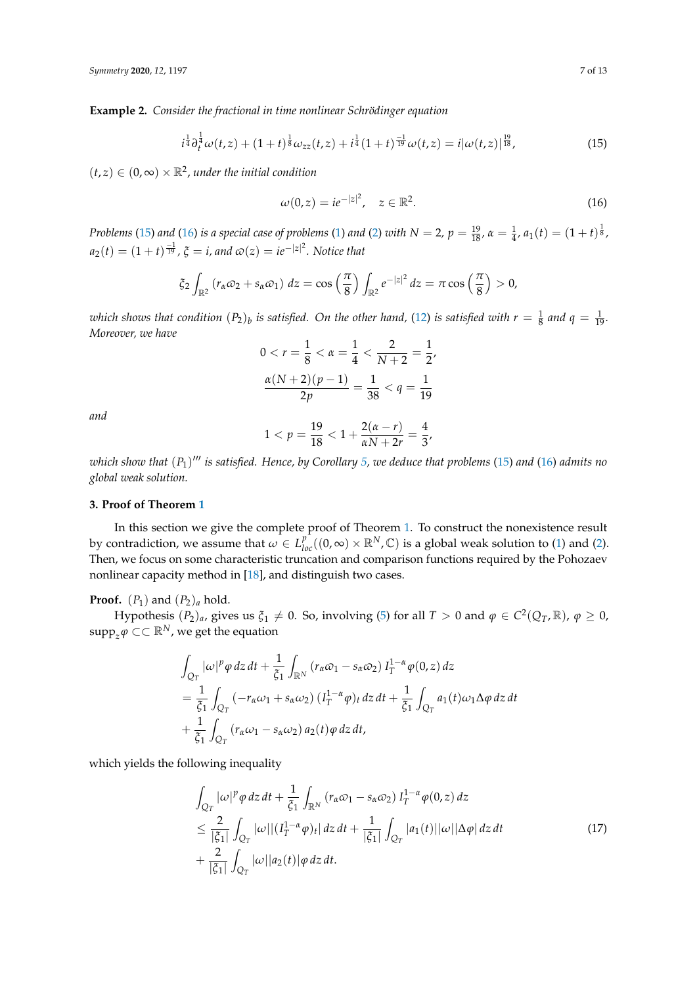**Example 2.** *Consider the fractional in time nonlinear Schrödinger equation*

<span id="page-6-0"></span>
$$
i^{\frac{1}{4}} \partial_t^{\frac{1}{4}} \omega(t, z) + (1+t)^{\frac{1}{8}} \omega_{zz}(t, z) + i^{\frac{1}{4}} (1+t)^{\frac{-1}{19}} \omega(t, z) = i |\omega(t, z)|^{\frac{19}{18}}, \tag{15}
$$

 $(t, z) \in (0, \infty) \times \mathbb{R}^2$ , under the initial condition

<span id="page-6-1"></span>
$$
\omega(0, z) = i e^{-|z|^2}, \quad z \in \mathbb{R}^2.
$$
 (16)

Problems [\(15\)](#page-6-0) and [\(16\)](#page-6-1) is a special case of problems [\(1\)](#page-0-0) and [\(2\)](#page-0-1) with  $N=2$ ,  $p=\frac{19}{18}$ ,  $\alpha=\frac{1}{4}$ ,  $a_1(t)=(1+t)^{\frac{1}{8}}$ ,  $a_2(t) = (1+t)^{\frac{-1}{19}}$ ,  $\xi = i$ , and  $\omega(z) = ie^{-|z|^2}$ . Notice that

$$
\xi_2\int_{\mathbb{R}^2} (r_\alpha\omega_2 + s_\alpha\omega_1) dz = \cos\left(\frac{\pi}{8}\right)\int_{\mathbb{R}^2} e^{-|z|^2} dz = \pi \cos\left(\frac{\pi}{8}\right) > 0,
$$

which shows that condition  $(P_2)_b$  is satisfied. On the other hand, [\(12\)](#page-5-1) is satisfied with  $r=\frac{1}{8}$  and  $q=\frac{1}{19}$ . *Moreover, we have*

$$
0 < r = \frac{1}{8} < \alpha = \frac{1}{4} < \frac{2}{N+2} = \frac{1}{2},
$$
\n
$$
\frac{\alpha(N+2)(p-1)}{2p} = \frac{1}{38} < q = \frac{1}{19}
$$

*and*

$$
1 < p = \frac{19}{18} < 1 + \frac{2(\alpha - r)}{\alpha N + 2r} = \frac{4}{3},
$$

*which show that* (*P*1) <sup>000</sup> *is satisfied. Hence, by Corollary [5,](#page-5-4) we deduce that problems* [\(15\)](#page-6-0) *and* [\(16\)](#page-6-1) *admits no global weak solution.*

## **3. Proof of Theorem [1](#page-3-2)**

In this section we give the complete proof of Theorem [1.](#page-3-2) To construct the nonexistence result by contradiction, we assume that  $\omega \in L_{loc}^{p^-}((0,\infty) \times \mathbb{R}^N, \mathbb{C})$  is a global weak solution to [\(1\)](#page-0-0) and [\(2\)](#page-0-1). Then, we focus on some characteristic truncation and comparison functions required by the Pohozaev nonlinear capacity method in [\[18\]](#page-12-1), and distinguish two cases.

**Proof.**  $(P_1)$  and  $(P_2)_a$  hold.

Hypothesis  $(P_2)_a$ , gives us  $\xi_1 \neq 0$ . So, involving [\(5\)](#page-2-2) for all  $T > 0$  and  $\varphi \in C^2(Q_T, \mathbb{R})$ ,  $\varphi \geq 0$ ,  $\mathrm{supp}_z \varphi \subset \subset \mathbb{R}^N$ , we get the equation

$$
\int_{Q_T} |\omega|^p \varphi \, dz \, dt + \frac{1}{\xi_1} \int_{\mathbb{R}^N} \left( r_\alpha \omega_1 - s_\alpha \omega_2 \right) I_T^{1-\alpha} \varphi(0, z) \, dz
$$
\n
$$
= \frac{1}{\xi_1} \int_{Q_T} \left( -r_\alpha \omega_1 + s_\alpha \omega_2 \right) \left( I_T^{1-\alpha} \varphi \right)_t \, dz \, dt + \frac{1}{\xi_1} \int_{Q_T} a_1(t) \omega_1 \Delta \varphi \, dz \, dt
$$
\n
$$
+ \frac{1}{\xi_1} \int_{Q_T} \left( r_\alpha \omega_1 - s_\alpha \omega_2 \right) a_2(t) \varphi \, dz \, dt,
$$

which yields the following inequality

<span id="page-6-2"></span>
$$
\int_{Q_T} |\omega|^p \varphi \, dz \, dt + \frac{1}{\xi_1} \int_{\mathbb{R}^N} \left( r_\alpha \omega_1 - s_\alpha \omega_2 \right) I_T^{1-\alpha} \varphi(0, z) \, dz
$$
\n
$$
\leq \frac{2}{|\xi_1|} \int_{Q_T} |\omega| |(I_T^{1-\alpha} \varphi)_t| \, dz \, dt + \frac{1}{|\xi_1|} \int_{Q_T} |a_1(t)| |\omega| |\Delta \varphi| \, dz \, dt
$$
\n
$$
+ \frac{2}{|\xi_1|} \int_{Q_T} |\omega| |a_2(t)| \varphi \, dz \, dt. \tag{17}
$$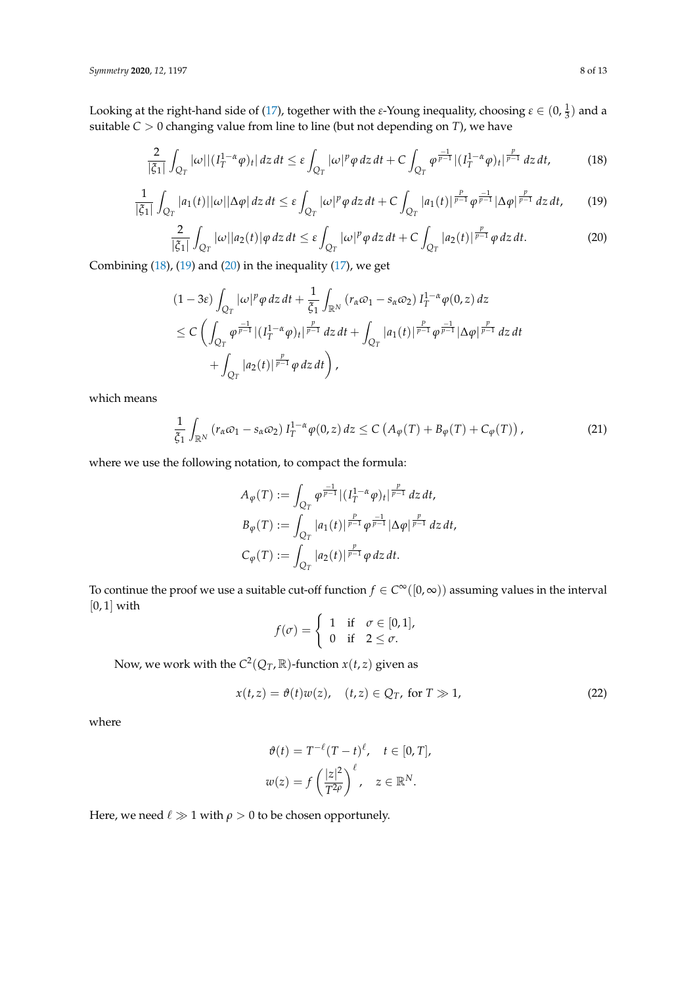Looking at the right-hand side of [\(17\)](#page-6-2), together with the *ε*-Young inequality, choosing  $\varepsilon \in (0, \frac{1}{3})$  and a suitable *C* > 0 changing value from line to line (but not depending on *T*), we have

<span id="page-7-0"></span>
$$
\frac{2}{|\xi_1|} \int_{Q_T} |\omega| |(I_T^{1-\alpha} \varphi)_t| \, dz \, dt \le \varepsilon \int_{Q_T} |\omega|^p \varphi \, dz \, dt + C \int_{Q_T} \varphi^{\frac{-1}{p-1}} |(I_T^{1-\alpha} \varphi)_t|^{\frac{p}{p-1}} \, dz \, dt,\tag{18}
$$

<span id="page-7-1"></span>
$$
\frac{1}{|\xi_1|}\int_{Q_T}|a_1(t)||\omega||\Delta\varphi|\,dz\,dt\leq \varepsilon\int_{Q_T}|\omega|^p\varphi\,dz\,dt+C\int_{Q_T}|a_1(t)|^{\frac{p}{p-1}}\varphi^{\frac{-1}{p-1}}|\Delta\varphi|^{\frac{p}{p-1}}\,dz\,dt,\qquad(19)
$$

<span id="page-7-2"></span>
$$
\frac{2}{|\xi_1|} \int_{Q_T} |\omega| |a_2(t)| \varphi \, dz \, dt \le \varepsilon \int_{Q_T} |\omega|^p \varphi \, dz \, dt + C \int_{Q_T} |a_2(t)|^{\frac{p}{p-1}} \varphi \, dz \, dt. \tag{20}
$$

Combining  $(18)$ ,  $(19)$  and  $(20)$  in the inequality  $(17)$ , we get

$$
(1-3\varepsilon)\int_{Q_T} |\omega|^p \varphi \, dz \, dt + \frac{1}{\xi_1} \int_{\mathbb{R}^N} (r_\alpha \varphi_1 - s_\alpha \varphi_2) I_T^{1-\alpha} \varphi(0, z) \, dz
$$
  
\$\leq C \left( \int\_{Q\_T} \varphi^{\frac{-1}{p-1}} |(I\_T^{1-\alpha} \varphi)\_t|^{\frac{p}{p-1}} \, dz \, dt + \int\_{Q\_T} |a\_1(t)|^{\frac{p}{p-1}} \varphi^{\frac{-1}{p-1}} |\Delta \varphi|^{\frac{p}{p-1}} \, dz \, dt \right\$  
 
$$
+ \int_{Q_T} |a_2(t)|^{\frac{p}{p-1}} \varphi \, dz \, dt \right),
$$

which means

<span id="page-7-3"></span>
$$
\frac{1}{\xi_1} \int_{\mathbb{R}^N} \left( r_\alpha \varpi_1 - s_\alpha \varpi_2 \right) I_T^{1-\alpha} \varphi(0, z) \, dz \le C \left( A_\varphi(T) + B_\varphi(T) + C_\varphi(T) \right), \tag{21}
$$

where we use the following notation, to compact the formula:

$$
A_{\varphi}(T) := \int_{Q_T} \varphi^{\frac{-1}{p-1}} |(I_T^{1-\alpha}\varphi)_t|^{\frac{p}{p-1}} dz dt,
$$
  
\n
$$
B_{\varphi}(T) := \int_{Q_T} |a_1(t)|^{\frac{p}{p-1}} \varphi^{\frac{-1}{p-1}} |\Delta \varphi|^{\frac{p}{p-1}} dz dt,
$$
  
\n
$$
C_{\varphi}(T) := \int_{Q_T} |a_2(t)|^{\frac{p}{p-1}} \varphi dz dt.
$$

To continue the proof we use a suitable cut-off function  $f \in C^{\infty}([0,\infty))$  assuming values in the interval  $[0, 1]$  with

$$
f(\sigma) = \begin{cases} 1 & \text{if } \sigma \in [0,1], \\ 0 & \text{if } 2 \leq \sigma. \end{cases}
$$

Now, we work with the  $C^2(Q_T, \mathbb{R})$ -function  $x(t, z)$  given as

<span id="page-7-4"></span>
$$
x(t,z) = \vartheta(t)w(z), \quad (t,z) \in Q_T, \text{ for } T \gg 1,
$$
 (22)

where

$$
\vartheta(t) = T^{-\ell}(T-t)^{\ell}, \quad t \in [0, T],
$$
  

$$
w(z) = f\left(\frac{|z|^2}{T^{2\rho}}\right)^{\ell}, \quad z \in \mathbb{R}^N.
$$

Here, we need  $\ell \gg 1$  with  $\rho > 0$  to be chosen opportunely.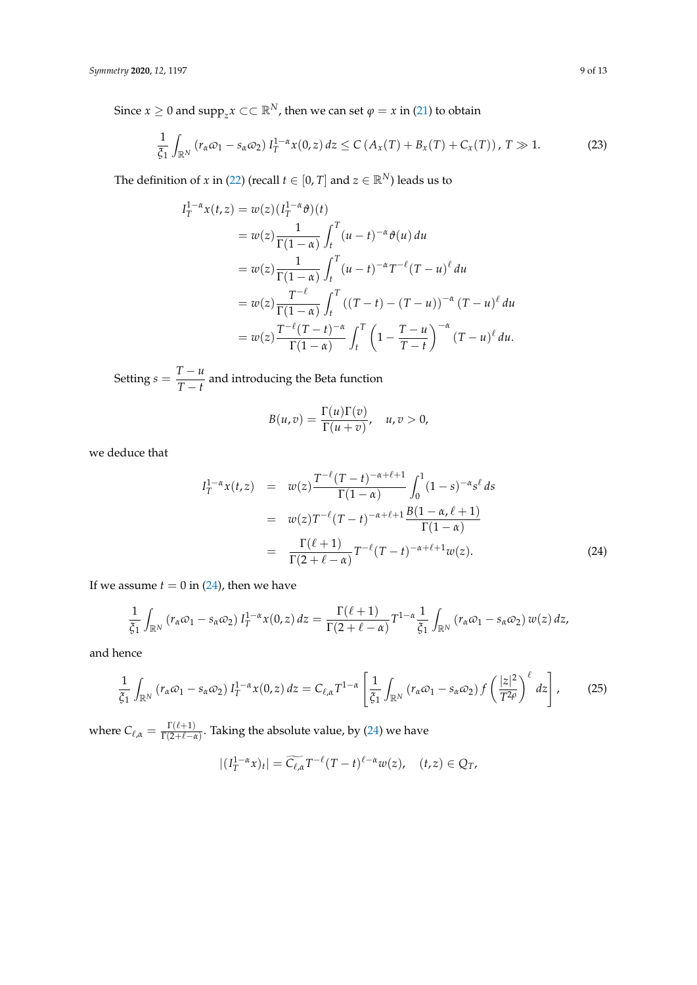Since  $x \geq 0$  and  $\text{supp}_z x \subset \subset \mathbb{R}^N$ , then we can set  $\varphi = x$  in [\(21\)](#page-7-3) to obtain

<span id="page-8-1"></span>
$$
\frac{1}{\xi_1} \int_{\mathbb{R}^N} \left( r_\alpha \varpi_1 - s_\alpha \varpi_2 \right) I_T^{1-\alpha} x(0, z) \, dz \le C \left( A_x(T) + B_x(T) + C_x(T) \right), \, T \gg 1. \tag{23}
$$

The definition of *x* in [\(22\)](#page-7-4) (recall  $t \in [0, T]$  and  $z \in \mathbb{R}^N$ ) leads us to

$$
I_T^{1-\alpha}x(t,z) = w(z)(I_T^{1-\alpha}\vartheta)(t)
$$
  
\n
$$
= w(z)\frac{1}{\Gamma(1-\alpha)}\int_t^T (u-t)^{-\alpha}\vartheta(u) du
$$
  
\n
$$
= w(z)\frac{1}{\Gamma(1-\alpha)}\int_t^T (u-t)^{-\alpha}T^{-\ell}(T-u)^{\ell} du
$$
  
\n
$$
= w(z)\frac{T^{-\ell}}{\Gamma(1-\alpha)}\int_t^T ((T-t)-(T-u))^{-\alpha}(T-u)^{\ell} du
$$
  
\n
$$
= w(z)\frac{T^{-\ell}(T-t)^{-\alpha}}{\Gamma(1-\alpha)}\int_t^T \left(1-\frac{T-u}{T-t}\right)^{-\alpha}(T-u)^{\ell} du.
$$

 $\text{Setting } s = \frac{T - u}{T - t}$  $\frac{1}{T-t}$  and introducing the Beta function

$$
B(u,v)=\frac{\Gamma(u)\Gamma(v)}{\Gamma(u+v)}, \quad u,v>0,
$$

we deduce that

<span id="page-8-0"></span>
$$
I_T^{1-\alpha} x(t, z) = w(z) \frac{T^{-\ell} (T-t)^{-\alpha+\ell+1}}{\Gamma(1-\alpha)} \int_0^1 (1-s)^{-\alpha} s^{\ell} ds
$$
  

$$
= w(z) T^{-\ell} (T-t)^{-\alpha+\ell+1} \frac{B(1-\alpha,\ell+1)}{\Gamma(1-\alpha)}
$$
  

$$
= \frac{\Gamma(\ell+1)}{\Gamma(2+\ell-\alpha)} T^{-\ell} (T-t)^{-\alpha+\ell+1} w(z).
$$
 (24)

If we assume  $t = 0$  in [\(24\)](#page-8-0), then we have

$$
\frac{1}{\xi_1}\int_{\mathbb{R}^N} (r_\alpha\omega_1-s_\alpha\omega_2) I_T^{1-\alpha}x(0,z)\,dz = \frac{\Gamma(\ell+1)}{\Gamma(2+\ell-\alpha)}T^{1-\alpha}\frac{1}{\xi_1}\int_{\mathbb{R}^N} (r_\alpha\omega_1-s_\alpha\omega_2)\,w(z)\,dz,
$$

and hence

<span id="page-8-2"></span>
$$
\frac{1}{\tilde{\zeta}_1} \int_{\mathbb{R}^N} \left( r_\alpha \varpi_1 - s_\alpha \varpi_2 \right) I_T^{1-\alpha} x(0,z) \, dz = C_{\ell,\alpha} T^{1-\alpha} \left[ \frac{1}{\tilde{\zeta}_1} \int_{\mathbb{R}^N} \left( r_\alpha \varpi_1 - s_\alpha \varpi_2 \right) f \left( \frac{|z|^2}{T^{2\rho}} \right)^{\ell} \, dz \right],\tag{25}
$$

where  $C_{\ell,\alpha} = \frac{\Gamma(\ell+1)}{\Gamma(2+\ell-\ell)}$  $\frac{1(e+1)}{\Gamma(2+e-a)}$ . Taking the absolute value, by [\(24\)](#page-8-0) we have

$$
|(I_T^{1-\alpha}x)_t| = \widetilde{C_{\ell,\alpha}} T^{-\ell} (T-t)^{\ell-\alpha} w(z), \quad (t,z) \in Q_T,
$$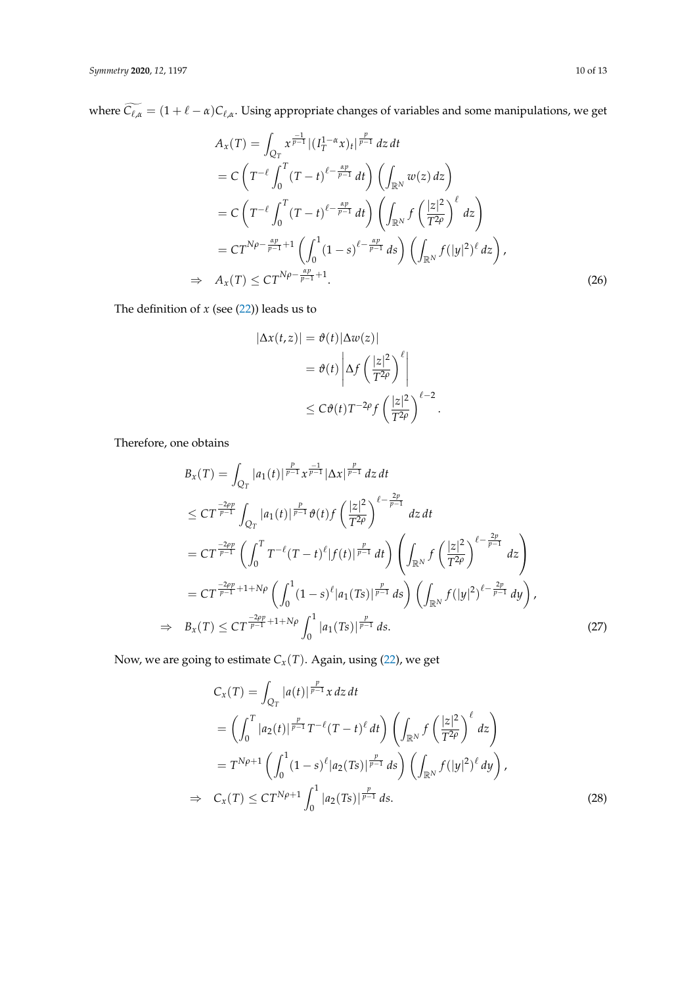where  $C_{\ell,\alpha} = (1 + \ell - \alpha)C_{\ell,\alpha}$ . Using appropriate changes of variables and some manipulations, we get

$$
A_{x}(T) = \int_{Q_{T}} x^{\frac{-1}{p-1}} |(I_{T}^{1-\alpha}x)_{t}|^{\frac{p}{p-1}} dz dt
$$
  
\n
$$
= C \left( T^{-\ell} \int_{0}^{T} (T-t)^{\ell-\frac{\alpha p}{p-1}} dt \right) \left( \int_{\mathbb{R}^{N}} w(z) dz \right)
$$
  
\n
$$
= C \left( T^{-\ell} \int_{0}^{T} (T-t)^{\ell-\frac{\alpha p}{p-1}} dt \right) \left( \int_{\mathbb{R}^{N}} f \left( \frac{|z|^{2}}{T^{2\rho}} \right)^{\ell} dz \right)
$$
  
\n
$$
= C T^{N\rho - \frac{\alpha p}{p-1} + 1} \left( \int_{0}^{1} (1-s)^{\ell-\frac{\alpha p}{p-1}} ds \right) \left( \int_{\mathbb{R}^{N}} f(|y|^{2})^{\ell} dz \right),
$$
  
\n
$$
\Rightarrow A_{x}(T) \leq C T^{N\rho - \frac{\alpha p}{p-1} + 1}.
$$
\n(26)

The definition of  $x$  (see  $(22)$ ) leads us to

<span id="page-9-0"></span>
$$
|\Delta x(t, z)| = \vartheta(t) |\Delta w(z)|
$$
  
=  $\vartheta(t) \left| \Delta f \left( \frac{|z|^2}{T^{2\rho}} \right)^{\ell} \right|$   
 $\leq C \vartheta(t) T^{-2\rho} f \left( \frac{|z|^2}{T^{2\rho}} \right)^{\ell - 2}.$ 

Therefore, one obtains

$$
B_{x}(T) = \int_{Q_{T}} |a_{1}(t)|^{\frac{p}{p-1}} x^{\frac{-1}{p-1}} |\Delta x|^{\frac{p}{p-1}} dz dt
$$
  
\n
$$
\leq C T^{\frac{-2\rho p}{p-1}} \int_{Q_{T}} |a_{1}(t)|^{\frac{p}{p-1}} \vartheta(t) f\left(\frac{|z|^{2}}{T^{2\rho}}\right)^{\ell-\frac{2p}{p-1}} dz dt
$$
  
\n
$$
= C T^{\frac{-2\rho p}{p-1}} \left( \int_{0}^{T} T^{-\ell} (T-t)^{\ell} |f(t)|^{\frac{p}{p-1}} dt \right) \left( \int_{\mathbb{R}^{N}} f\left(\frac{|z|^{2}}{T^{2\rho}}\right)^{\ell-\frac{2p}{p-1}} dz \right)
$$
  
\n
$$
= C T^{\frac{-2\rho p}{p-1} + 1 + N\rho} \left( \int_{0}^{1} (1-s)^{\ell} |a_{1}(Ts)|^{\frac{p}{p-1}} ds \right) \left( \int_{\mathbb{R}^{N}} f(|y|^{2})^{\ell-\frac{2p}{p-1}} dy \right),
$$
  
\n
$$
\Rightarrow B_{x}(T) \leq C T^{\frac{-2\rho p}{p-1} + 1 + N\rho} \int_{0}^{1} |a_{1}(Ts)|^{\frac{p}{p-1}} ds.
$$
\n(27)

Now, we are going to estimate  $C_x(T)$ . Again, using [\(22\)](#page-7-4), we get

<span id="page-9-2"></span><span id="page-9-1"></span>
$$
C_{x}(T) = \int_{Q_{T}} |a(t)|^{\frac{p}{p-1}} x \, dz \, dt
$$
  
\n
$$
= \left( \int_{0}^{T} |a_{2}(t)|^{\frac{p}{p-1}} T^{-\ell} (T-t)^{\ell} \, dt \right) \left( \int_{\mathbb{R}^{N}} f\left(\frac{|z|^{2}}{T^{2\rho}}\right)^{\ell} \, dz \right)
$$
  
\n
$$
= T^{N\rho+1} \left( \int_{0}^{1} (1-s)^{\ell} |a_{2}(Ts)|^{\frac{p}{p-1}} \, ds \right) \left( \int_{\mathbb{R}^{N}} f(|y|^{2})^{\ell} \, dy \right),
$$
  
\n
$$
\Rightarrow C_{x}(T) \leq C T^{N\rho+1} \int_{0}^{1} |a_{2}(Ts)|^{\frac{p}{p-1}} \, ds. \tag{28}
$$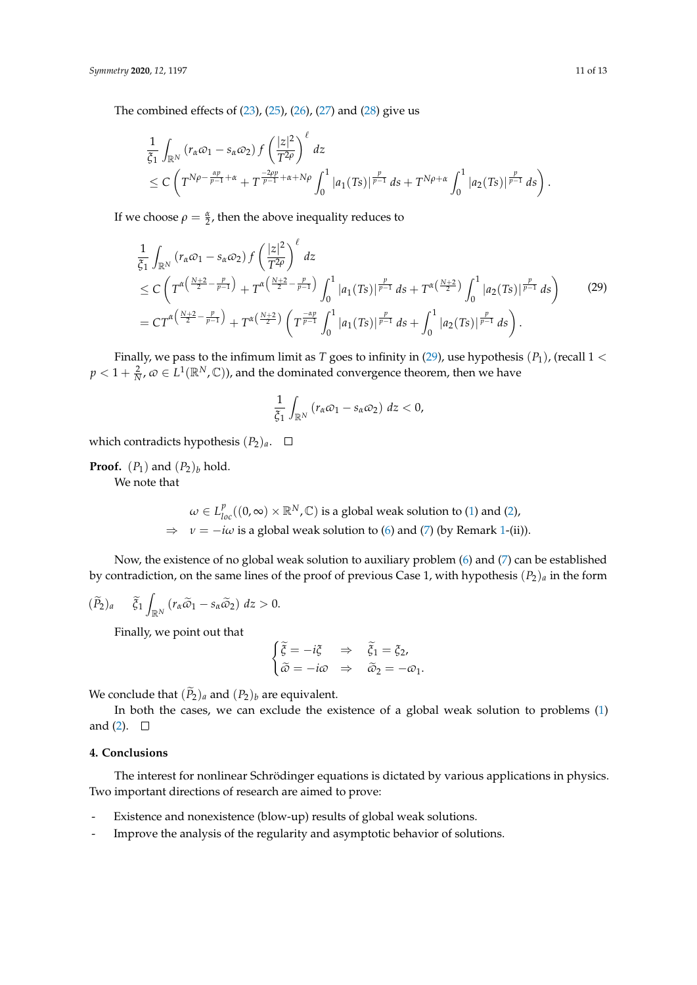The combined effects of [\(23\)](#page-8-1), [\(25\)](#page-8-2), [\(26\)](#page-9-0), [\(27\)](#page-9-1) and [\(28\)](#page-9-2) give us

$$
\frac{1}{\xi_1} \int_{\mathbb{R}^N} \left( r_\alpha \varpi_1 - s_\alpha \varpi_2 \right) f\left( \frac{|z|^2}{T^{2\rho}} \right)^{\ell} dz
$$
\n
$$
\leq C \left( T^{N\rho - \frac{\alpha p}{p-1} + \alpha} + T^{\frac{-2\rho p}{p-1} + \alpha + N\rho} \int_0^1 |a_1(Ts)|^{\frac{p}{p-1}} ds + T^{N\rho + \alpha} \int_0^1 |a_2(Ts)|^{\frac{p}{p-1}} ds \right).
$$

If we choose  $\rho = \frac{\alpha}{2}$ , then the above inequality reduces to

<span id="page-10-0"></span>
$$
\frac{1}{\xi_{1}}\int_{\mathbb{R}^{N}}\left(r_{\alpha}\varpi_{1}-s_{\alpha}\varpi_{2}\right)f\left(\frac{|z|^{2}}{T^{2\rho}}\right)^{\ell}dz
$$
\n
$$
\leq C\left(T^{\alpha\left(\frac{N+2}{2}-\frac{p}{p-1}\right)}+T^{\alpha\left(\frac{N+2}{2}-\frac{p}{p-1}\right)}\int_{0}^{1}|a_{1}(Ts)|^{\frac{p}{p-1}}ds+T^{\alpha\left(\frac{N+2}{2}\right)}\int_{0}^{1}|a_{2}(Ts)|^{\frac{p}{p-1}}ds\right) (29)
$$
\n
$$
=CT^{\alpha\left(\frac{N+2}{2}-\frac{p}{p-1}\right)}+T^{\alpha\left(\frac{N+2}{2}\right)}\left(T^{\frac{-\alpha p}{p-1}}\int_{0}^{1}|a_{1}(Ts)|^{\frac{p}{p-1}}ds+\int_{0}^{1}|a_{2}(Ts)|^{\frac{p}{p-1}}ds\right).
$$

Finally, we pass to the infimum limit as *T* goes to infinity in [\(29\)](#page-10-0), use hypothesis  $(P_1)$ , (recall 1 <  $p < 1 + \frac{2}{N}$ ,  $\omega \in L^1(\mathbb{R}^N, \mathbb{C})$ ), and the dominated convergence theorem, then we have

$$
\frac{1}{\xi_1}\int_{\mathbb{R}^N}\left(r_\alpha\omega_1-s_\alpha\omega_2\right)\,dz<0,
$$

which contradicts hypothesis  $(P_2)_a$ .  $\Box$ 

**Proof.**  $(P_1)$  and  $(P_2)_b$  hold.

We note that

 $\omega \in L_{loc} ^p((0,\infty )\times \mathbb{R}^N ,\mathbb{C})$  is a global weak solution to [\(1\)](#page-0-0) and [\(2\)](#page-0-1),  $\Rightarrow v = -i\omega$  is a global weak solution to [\(6\)](#page-2-3) and [\(7\)](#page-2-4) (by Remark [1-](#page-2-5)(ii)).

Now, the existence of no global weak solution to auxiliary problem [\(6\)](#page-2-3) and [\(7\)](#page-2-4) can be established by contradiction, on the same lines of the proof of previous Case 1, with hypothesis  $(P_2)_a$  in the form

$$
(\widetilde{P}_2)_a \quad \widetilde{\xi}_1 \int_{\mathbb{R}^N} \left( r_\alpha \widetilde{\omega}_1 - s_\alpha \widetilde{\omega}_2 \right) dz > 0.
$$

Finally, we point out that

$$
\begin{cases}\n\tilde{\xi} = -i\xi & \Rightarrow \quad \tilde{\xi}_1 = \xi_2, \\
\tilde{\omega} = -i\omega & \Rightarrow \quad \tilde{\omega}_2 = -\omega_1.\n\end{cases}
$$

We conclude that  $(\widetilde{P}_2)_a$  and  $(P_2)_b$  are equivalent.

In both the cases, we can exclude the existence of a global weak solution to problems [\(1\)](#page-0-0) and [\(2\)](#page-0-1).  $\square$ 

#### **4. Conclusions**

The interest for nonlinear Schrödinger equations is dictated by various applications in physics. Two important directions of research are aimed to prove:

- Existence and nonexistence (blow-up) results of global weak solutions.
- Improve the analysis of the regularity and asymptotic behavior of solutions.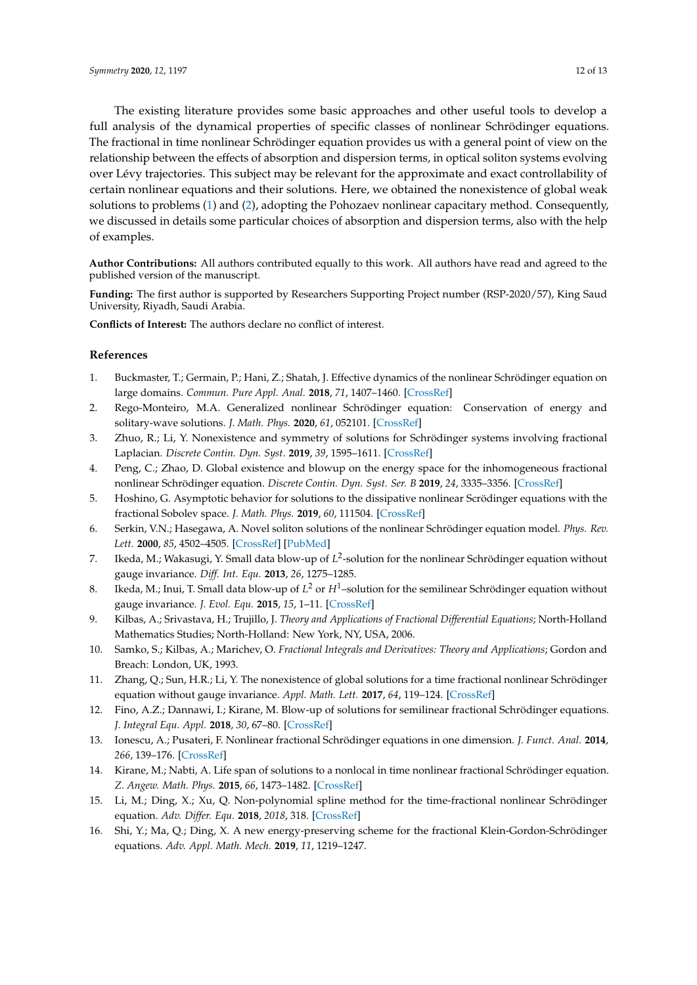The existing literature provides some basic approaches and other useful tools to develop a full analysis of the dynamical properties of specific classes of nonlinear Schrödinger equations. The fractional in time nonlinear Schrödinger equation provides us with a general point of view on the relationship between the effects of absorption and dispersion terms, in optical soliton systems evolving over Lévy trajectories. This subject may be relevant for the approximate and exact controllability of certain nonlinear equations and their solutions. Here, we obtained the nonexistence of global weak solutions to problems [\(1\)](#page-0-0) and [\(2\)](#page-0-1), adopting the Pohozaev nonlinear capacitary method. Consequently, we discussed in details some particular choices of absorption and dispersion terms, also with the help of examples.

**Author Contributions:** All authors contributed equally to this work. All authors have read and agreed to the published version of the manuscript.

**Funding:** The first author is supported by Researchers Supporting Project number (RSP-2020/57), King Saud University, Riyadh, Saudi Arabia.

**Conflicts of Interest:** The authors declare no conflict of interest.

#### **References**

- <span id="page-11-0"></span>1. Buckmaster, T.; Germain, P.; Hani, Z.; Shatah, J. Effective dynamics of the nonlinear Schrödinger equation on large domains. *Commun. Pure Appl. Anal.* **2018**, *71*, 1407–1460. [\[CrossRef\]](http://dx.doi.org/10.1002/cpa.21749)
- <span id="page-11-1"></span>2. Rego-Monteiro, M.A. Generalized nonlinear Schrödinger equation: Conservation of energy and solitary-wave solutions. *J. Math. Phys.* **2020**, *61*, 052101. [\[CrossRef\]](http://dx.doi.org/10.1063/5.0006799)
- <span id="page-11-2"></span>3. Zhuo, R.; Li, Y. Nonexistence and symmetry of solutions for Schrödinger systems involving fractional Laplacian. *Discrete Contin. Dyn. Syst.* **2019**, *39*, 1595–1611. [\[CrossRef\]](http://dx.doi.org/10.3934/dcds.2019071)
- <span id="page-11-3"></span>4. Peng, C.; Zhao, D. Global existence and blowup on the energy space for the inhomogeneous fractional nonlinear Schrödinger equation. *Discrete Contin. Dyn. Syst. Ser. B* **2019**, *24*, 3335–3356. [\[CrossRef\]](http://dx.doi.org/10.3934/dcdsb.2018323)
- <span id="page-11-4"></span>5. Hoshino, G. Asymptotic behavior for solutions to the dissipative nonlinear Scrödinger equations with the fractional Sobolev space. *J. Math. Phys.* **2019**, *60*, 111504. [\[CrossRef\]](http://dx.doi.org/10.1063/1.5125161)
- <span id="page-11-5"></span>6. Serkin, V.N.; Hasegawa, A. Novel soliton solutions of the nonlinear Schrödinger equation model. *Phys. Rev. Lett.* **2000**, *85*, 4502–4505. [\[CrossRef\]](http://dx.doi.org/10.1103/PhysRevLett.85.4502) [\[PubMed\]](http://www.ncbi.nlm.nih.gov/pubmed/11082581)
- <span id="page-11-6"></span>7. Ikeda, M.; Wakasugi, Y. Small data blow-up of L<sup>2</sup>-solution for the nonlinear Schrödinger equation without gauge invariance. *Diff. Int. Equ.* **2013**, *26*, 1275–1285.
- <span id="page-11-7"></span>8. Ikeda, M.; Inui, T. Small data blow-up of *L* <sup>2</sup> or *H*1–solution for the semilinear Schrödinger equation without gauge invariance. *J. Evol. Equ.* **2015**, *15*, 1–11. [\[CrossRef\]](http://dx.doi.org/10.1007/s00028-015-0273-7)
- <span id="page-11-8"></span>9. Kilbas, A.; Srivastava, H.; Trujillo, J. *Theory and Applications of Fractional Differential Equations*; North-Holland Mathematics Studies; North-Holland: New York, NY, USA, 2006.
- <span id="page-11-9"></span>10. Samko, S.; Kilbas, A.; Marichev, O. *Fractional Integrals and Derivatives: Theory and Applications*; Gordon and Breach: London, UK, 1993.
- <span id="page-11-10"></span>11. Zhang, Q.; Sun, H.R.; Li, Y. The nonexistence of global solutions for a time fractional nonlinear Schrödinger equation without gauge invariance. *Appl. Math. Lett.* **2017**, *64*, 119–124. [\[CrossRef\]](http://dx.doi.org/10.1016/j.aml.2016.08.017)
- <span id="page-11-11"></span>12. Fino, A.Z.; Dannawi, I.; Kirane, M. Blow-up of solutions for semilinear fractional Schrödinger equations. *J. Integral Equ. Appl.* **2018**, *30*, 67–80. [\[CrossRef\]](http://dx.doi.org/10.1216/JIE-2018-30-1-67)
- <span id="page-11-12"></span>13. Ionescu, A.; Pusateri, F. Nonlinear fractional Schrödinger equations in one dimension. *J. Funct. Anal.* **2014**, *266*, 139–176. [\[CrossRef\]](http://dx.doi.org/10.1016/j.jfa.2013.08.027)
- <span id="page-11-13"></span>14. Kirane, M.; Nabti, A. Life span of solutions to a nonlocal in time nonlinear fractional Schrödinger equation. *Z. Angew. Math. Phys.* **2015**, *66*, 1473–1482. [\[CrossRef\]](http://dx.doi.org/10.1007/s00033-014-0473-y)
- <span id="page-11-14"></span>15. Li, M.; Ding, X.; Xu, Q. Non-polynomial spline method for the time-fractional nonlinear Schrödinger equation. *Adv. Differ. Equ.* **2018**, *2018*, 318. [\[CrossRef\]](http://dx.doi.org/10.1186/s13662-018-1743-3)
- <span id="page-11-15"></span>16. Shi, Y.; Ma, Q.; Ding, X. A new energy-preserving scheme for the fractional Klein-Gordon-Schrödinger equations. *Adv. Appl. Math. Mech.* **2019**, *11*, 1219–1247.